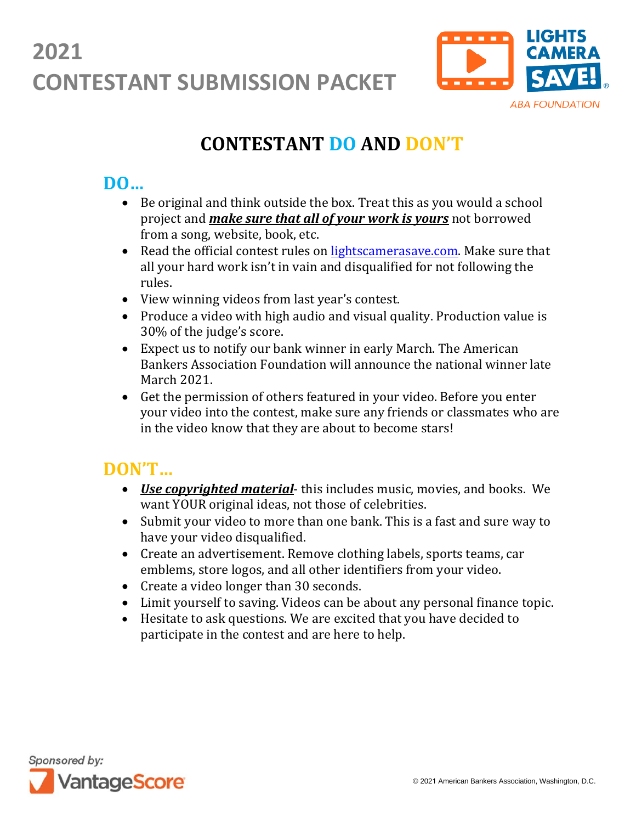

### **CONTESTANT DO AND DON'T**

### **DO…**

- Be original and think outside the box. Treat this as you would a school project and *make sure that all of your work is yours* not borrowed from a song, website, book, etc.
- Read the official contest rules on [lightscamerasave.com.](http://www.lightscamerasave.com/) Make sure that all your hard work isn't in vain and disqualified for not following the rules.
- View winning videos from last year's contest.
- Produce a video with high audio and visual quality. Production value is 30% of the judge's score.
- Expect us to notify our bank winner in early March. The American Bankers Association Foundation will announce the national winner late March 2021.
- Get the permission of others featured in your video. Before you enter your video into the contest, make sure any friends or classmates who are in the video know that they are about to become stars!

### **DON'T…**

- *Use copyrighted material* this includes music, movies, and books. We want YOUR original ideas, not those of celebrities.
- Submit your video to more than one bank. This is a fast and sure way to have your video disqualified.
- Create an advertisement. Remove clothing labels, sports teams, car emblems, store logos, and all other identifiers from your video.
- Create a video longer than 30 seconds.
- Limit yourself to saving. Videos can be about any personal finance topic.
- Hesitate to ask questions. We are excited that you have decided to participate in the contest and are here to help.

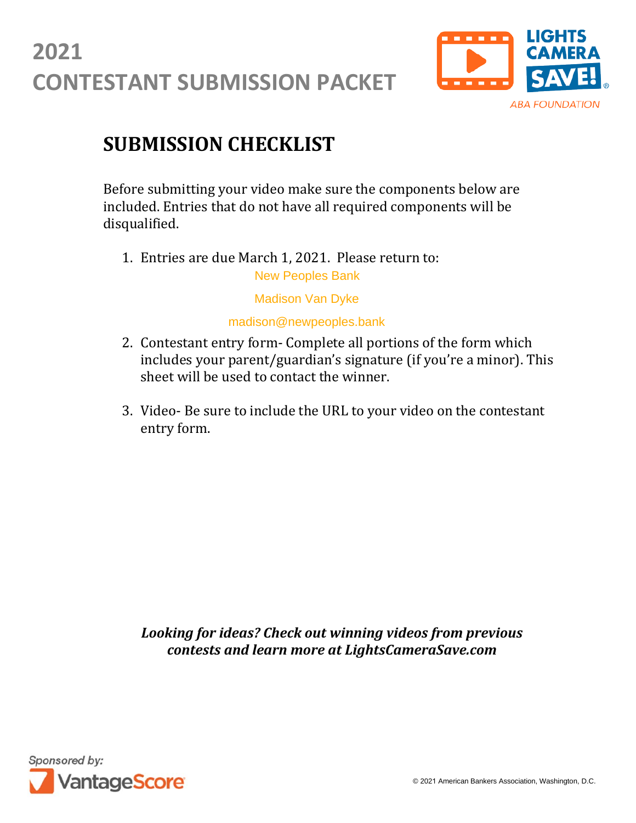

### **SUBMISSION CHECKLIST**

Before submitting your video make sure the components below are included. Entries that do not have all required components will be disqualified.

1. Entries are due March 1, 2021. Please return to: New Peoples Bank

Madison Van Dyke

madison@newpeoples.bank

- 2. Contestant entry form- Complete all portions of the form which includes your parent/guardian's signature (if you're a minor). This sheet will be used to contact the winner.
- 3. Video- Be sure to include the URL to your video on the contestant entry form.

*Looking for ideas? Check out winning videos from previous contests and learn more at LightsCameraSave.com*

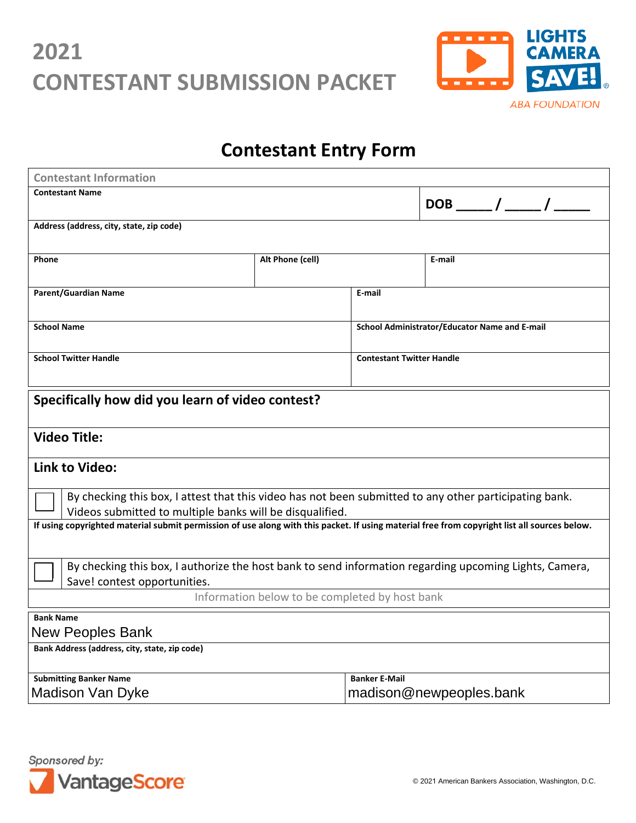

### **Contestant Entry Form**

| <b>Contestant Information</b>                                                                                                                                      |  |                                               |                             |
|--------------------------------------------------------------------------------------------------------------------------------------------------------------------|--|-----------------------------------------------|-----------------------------|
| <b>Contestant Name</b>                                                                                                                                             |  |                                               | $DOB$ _____ / _____ / _____ |
|                                                                                                                                                                    |  |                                               |                             |
| Address (address, city, state, zip code)                                                                                                                           |  |                                               |                             |
| Phone<br>Alt Phone (cell)                                                                                                                                          |  |                                               | E-mail                      |
|                                                                                                                                                                    |  |                                               |                             |
| <b>Parent/Guardian Name</b>                                                                                                                                        |  | E-mail                                        |                             |
|                                                                                                                                                                    |  |                                               |                             |
| <b>School Name</b>                                                                                                                                                 |  | School Administrator/Educator Name and E-mail |                             |
| <b>School Twitter Handle</b>                                                                                                                                       |  | <b>Contestant Twitter Handle</b>              |                             |
|                                                                                                                                                                    |  |                                               |                             |
|                                                                                                                                                                    |  |                                               |                             |
| Specifically how did you learn of video contest?                                                                                                                   |  |                                               |                             |
|                                                                                                                                                                    |  |                                               |                             |
| <b>Video Title:</b>                                                                                                                                                |  |                                               |                             |
| Link to Video:                                                                                                                                                     |  |                                               |                             |
|                                                                                                                                                                    |  |                                               |                             |
| By checking this box, I attest that this video has not been submitted to any other participating bank.<br>Videos submitted to multiple banks will be disqualified. |  |                                               |                             |
| If using copyrighted material submit permission of use along with this packet. If using material free from copyright list all sources below.                       |  |                                               |                             |
|                                                                                                                                                                    |  |                                               |                             |
| By checking this box, I authorize the host bank to send information regarding upcoming Lights, Camera,                                                             |  |                                               |                             |
| Save! contest opportunities.                                                                                                                                       |  |                                               |                             |
| Information below to be completed by host bank                                                                                                                     |  |                                               |                             |
| <b>Bank Name</b>                                                                                                                                                   |  |                                               |                             |
| <b>New Peoples Bank</b>                                                                                                                                            |  |                                               |                             |
| Bank Address (address, city, state, zip code)                                                                                                                      |  |                                               |                             |
| <b>Submitting Banker Name</b>                                                                                                                                      |  | <b>Banker E-Mail</b>                          |                             |
| <b>Madison Van Dyke</b>                                                                                                                                            |  | madison@newpeoples.bank                       |                             |

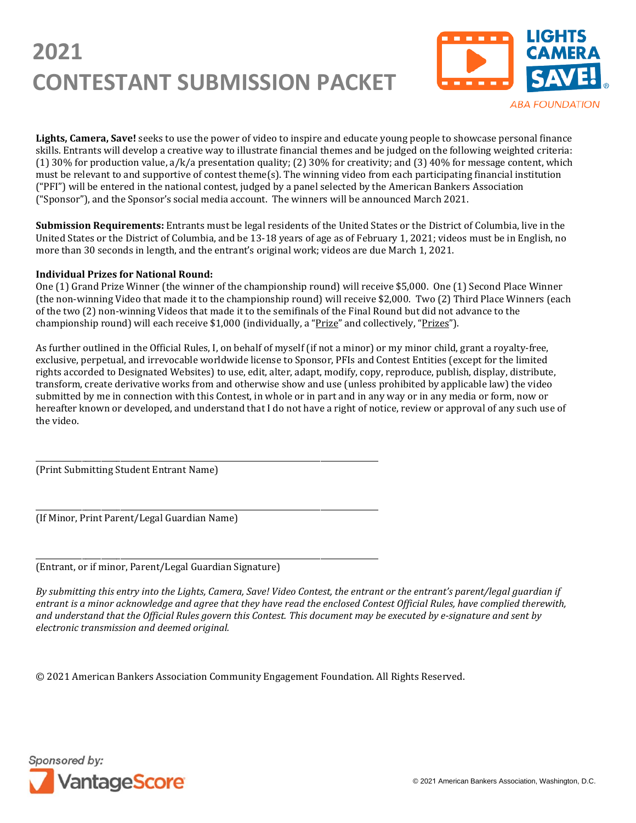

**Lights, Camera, Save!** seeks to use the power of video to inspire and educate young people to showcase personal finance skills. Entrants will develop a creative way to illustrate financial themes and be judged on the following weighted criteria: (1) 30% for production value,  $a/k/a$  presentation quality; (2) 30% for creativity; and (3) 40% for message content, which must be relevant to and supportive of contest theme(s). The winning video from each participating financial institution ("PFI") will be entered in the national contest, judged by a panel selected by the American Bankers Association ("Sponsor"), and the Sponsor's social media account. The winners will be announced March 2021.

**Submission Requirements:** Entrants must be legal residents of the United States or the District of Columbia, live in the United States or the District of Columbia, and be 13-18 years of age as of February 1, 2021; videos must be in English, no more than 30 seconds in length, and the entrant's original work; videos are due March 1, 2021.

#### **Individual Prizes for National Round:**

One (1) Grand Prize Winner (the winner of the championship round) will receive \$5,000. One (1) Second Place Winner (the non-winning Video that made it to the championship round) will receive \$2,000. Two (2) Third Place Winners (each of the two (2) non-winning Videos that made it to the semifinals of the Final Round but did not advance to the championship round) will each receive \$1,000 (individually, a "Prize" and collectively, "Prizes").

As further outlined in the Official Rules, I, on behalf of myself (if not a minor) or my minor child, grant a royalty-free, exclusive, perpetual, and irrevocable worldwide license to Sponsor, PFIs and Contest Entities (except for the limited rights accorded to Designated Websites) to use, edit, alter, adapt, modify, copy, reproduce, publish, display, distribute, transform, create derivative works from and otherwise show and use (unless prohibited by applicable law) the video submitted by me in connection with this Contest, in whole or in part and in any way or in any media or form, now or hereafter known or developed, and understand that I do not have a right of notice, review or approval of any such use of the video.

\_\_\_\_\_\_\_\_\_\_\_\_\_\_\_\_\_\_\_\_\_\_\_\_\_\_\_\_\_\_\_\_\_\_\_\_\_\_\_\_\_\_\_\_\_\_\_\_\_\_\_\_\_\_\_\_\_\_\_\_\_\_\_\_\_\_\_\_\_\_\_\_\_\_\_\_\_\_\_\_\_\_\_\_\_\_\_\_\_ (Print Submitting Student Entrant Name)

\_\_\_\_\_\_\_\_\_\_\_\_\_\_\_\_\_\_\_\_\_\_\_\_\_\_\_\_\_\_\_\_\_\_\_\_\_\_\_\_\_\_\_\_\_\_\_\_\_\_\_\_\_\_\_\_\_\_\_\_\_\_\_\_\_\_\_\_\_\_\_\_\_\_\_\_\_\_\_\_\_\_\_\_\_\_\_\_\_ (If Minor, Print Parent/Legal Guardian Name)

\_\_\_\_\_\_\_\_\_\_\_\_\_\_\_\_\_\_\_\_\_\_\_\_\_\_\_\_\_\_\_\_\_\_\_\_\_\_\_\_\_\_\_\_\_\_\_\_\_\_\_\_\_\_\_\_\_\_\_\_\_\_\_\_\_\_\_\_\_\_\_\_\_\_\_\_\_\_\_\_\_\_\_\_\_\_\_\_\_ (Entrant, or if minor, Parent/Legal Guardian Signature)

*By submitting this entry into the Lights, Camera, Save! Video Contest, the entrant or the entrant's parent/legal guardian if entrant is a minor acknowledge and agree that they have read the enclosed Contest Official Rules, have complied therewith, and understand that the Official Rules govern this Contest. This document may be executed by e-signature and sent by electronic transmission and deemed original.*

© 2021 American Bankers Association Community Engagement Foundation. All Rights Reserved.

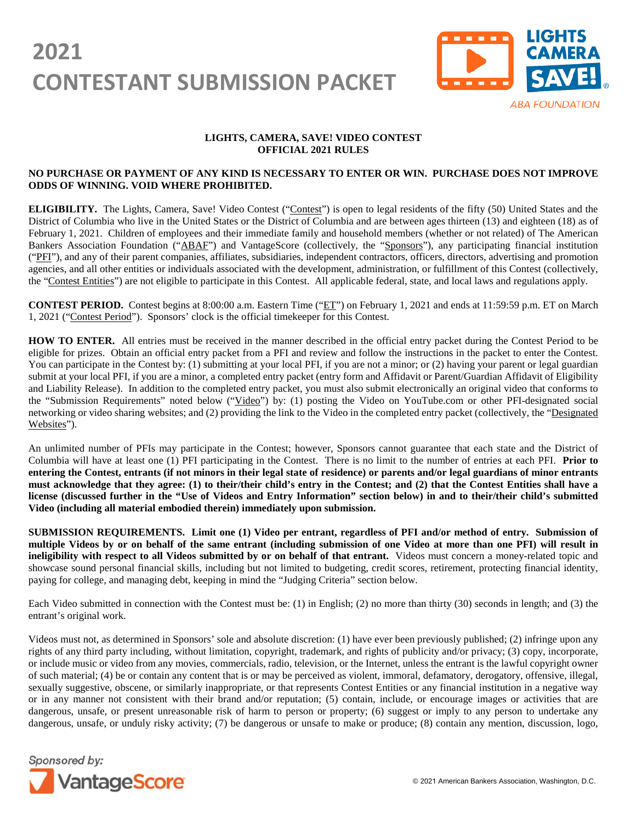

#### **LIGHTS, CAMERA, SAVE! VIDEO CONTEST OFFICIAL 2021 RULES**

#### **NO PURCHASE OR PAYMENT OF ANY KIND IS NECESSARY TO ENTER OR WIN. PURCHASE DOES NOT IMPROVE ODDS OF WINNING. VOID WHERE PROHIBITED.**

ELIGIBILITY. The Lights, Camera, Save! Video Contest ("Contest") is open to legal residents of the fifty (50) United States and the District of Columbia who live in the United States or the District of Columbia and are between ages thirteen (13) and eighteen (18) as of February 1, 2021. Children of employees and their immediate family and household members (whether or not related) of The American Bankers Association Foundation ("ABAF") and VantageScore (collectively, the "Sponsors"), any participating financial institution ("PFI"), and any of their parent companies, affiliates, subsidiaries, independent contractors, officers, directors, advertising and promotion agencies, and all other entities or individuals associated with the development, administration, or fulfillment of this Contest (collectively, the "Contest Entities") are not eligible to participate in this Contest. All applicable federal, state, and local laws and regulations apply.

**CONTEST PERIOD.** Contest begins at 8:00:00 a.m. Eastern Time ("ET") on February 1, 2021 and ends at 11:59:59 p.m. ET on March 1, 2021 ("Contest Period"). Sponsors' clock is the official timekeeper for this Contest.

**HOW TO ENTER.** All entries must be received in the manner described in the official entry packet during the Contest Period to be eligible for prizes. Obtain an official entry packet from a PFI and review and follow the instructions in the packet to enter the Contest. You can participate in the Contest by: (1) submitting at your local PFI, if you are not a minor; or (2) having your parent or legal guardian submit at your local PFI, if you are a minor, a completed entry packet (entry form and Affidavit or Parent/Guardian Affidavit of Eligibility and Liability Release). In addition to the completed entry packet, you must also submit electronically an original video that conforms to the "Submission Requirements" noted below ("Video") by: (1) posting the Video on YouTube.com or other PFI-designated social networking or video sharing websites; and (2) providing the link to the Video in the completed entry packet (collectively, the "Designated Websites").

An unlimited number of PFIs may participate in the Contest; however, Sponsors cannot guarantee that each state and the District of Columbia will have at least one (1) PFI participating in the Contest. There is no limit to the number of entries at each PFI. **Prior to entering the Contest, entrants (if not minors in their legal state of residence) or parents and/or legal guardians of minor entrants must acknowledge that they agree: (1) to their/their child's entry in the Contest; and (2) that the Contest Entities shall have a license (discussed further in the "Use of Videos and Entry Information" section below) in and to their/their child's submitted Video (including all material embodied therein) immediately upon submission.**

**SUBMISSION REQUIREMENTS. Limit one (1) Video per entrant, regardless of PFI and/or method of entry. Submission of multiple Videos by or on behalf of the same entrant (including submission of one Video at more than one PFI) will result in ineligibility with respect to all Videos submitted by or on behalf of that entrant.** Videos must concern a money-related topic and showcase sound personal financial skills, including but not limited to budgeting, credit scores, retirement, protecting financial identity, paying for college, and managing debt, keeping in mind the "Judging Criteria" section below.

Each Video submitted in connection with the Contest must be: (1) in English; (2) no more than thirty (30) seconds in length; and (3) the entrant's original work.

Videos must not, as determined in Sponsors' sole and absolute discretion: (1) have ever been previously published; (2) infringe upon any rights of any third party including, without limitation, copyright, trademark, and rights of publicity and/or privacy; (3) copy, incorporate, or include music or video from any movies, commercials, radio, television, or the Internet, unless the entrant is the lawful copyright owner of such material; (4) be or contain any content that is or may be perceived as violent, immoral, defamatory, derogatory, offensive, illegal, sexually suggestive, obscene, or similarly inappropriate, or that represents Contest Entities or any financial institution in a negative way or in any manner not consistent with their brand and/or reputation; (5) contain, include, or encourage images or activities that are dangerous, unsafe, or present unreasonable risk of harm to person or property; (6) suggest or imply to any person to undertake any dangerous, unsafe, or unduly risky activity; (7) be dangerous or unsafe to make or produce; (8) contain any mention, discussion, logo,

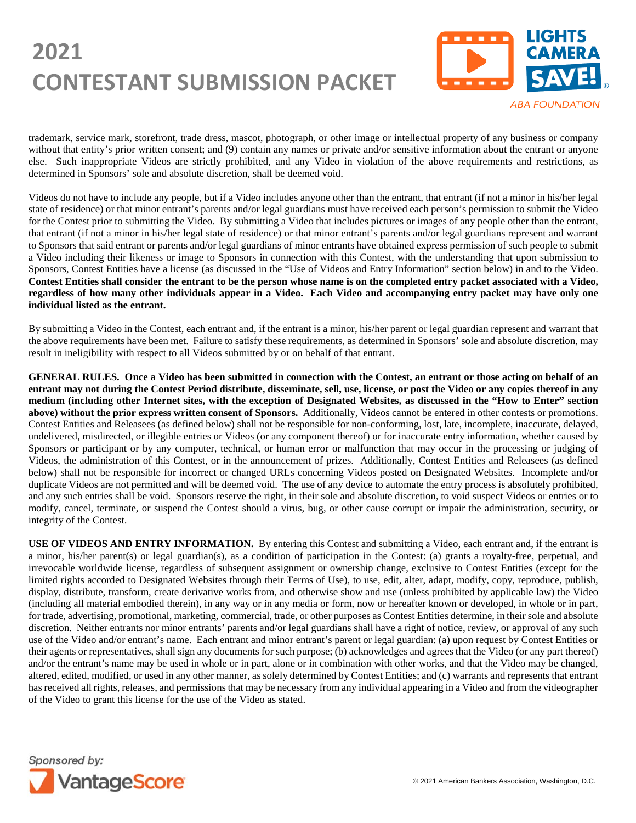

trademark, service mark, storefront, trade dress, mascot, photograph, or other image or intellectual property of any business or company without that entity's prior written consent; and (9) contain any names or private and/or sensitive information about the entrant or anyone else. Such inappropriate Videos are strictly prohibited, and any Video in violation of the above requirements and restrictions, as determined in Sponsors' sole and absolute discretion, shall be deemed void.

Videos do not have to include any people, but if a Video includes anyone other than the entrant, that entrant (if not a minor in his/her legal state of residence) or that minor entrant's parents and/or legal guardians must have received each person's permission to submit the Video for the Contest prior to submitting the Video. By submitting a Video that includes pictures or images of any people other than the entrant, that entrant (if not a minor in his/her legal state of residence) or that minor entrant's parents and/or legal guardians represent and warrant to Sponsors that said entrant or parents and/or legal guardians of minor entrants have obtained express permission of such people to submit a Video including their likeness or image to Sponsors in connection with this Contest, with the understanding that upon submission to Sponsors, Contest Entities have a license (as discussed in the "Use of Videos and Entry Information" section below) in and to the Video. **Contest Entities shall consider the entrant to be the person whose name is on the completed entry packet associated with a Video, regardless of how many other individuals appear in a Video. Each Video and accompanying entry packet may have only one individual listed as the entrant.**

By submitting a Video in the Contest, each entrant and, if the entrant is a minor, his/her parent or legal guardian represent and warrant that the above requirements have been met. Failure to satisfy these requirements, as determined in Sponsors' sole and absolute discretion, may result in ineligibility with respect to all Videos submitted by or on behalf of that entrant.

**GENERAL RULES. Once a Video has been submitted in connection with the Contest, an entrant or those acting on behalf of an entrant may not during the Contest Period distribute, disseminate, sell, use, license, or post the Video or any copies thereof in any medium (including other Internet sites, with the exception of Designated Websites, as discussed in the "How to Enter" section above) without the prior express written consent of Sponsors.** Additionally, Videos cannot be entered in other contests or promotions. Contest Entities and Releasees (as defined below) shall not be responsible for non-conforming, lost, late, incomplete, inaccurate, delayed, undelivered, misdirected, or illegible entries or Videos (or any component thereof) or for inaccurate entry information, whether caused by Sponsors or participant or by any computer, technical, or human error or malfunction that may occur in the processing or judging of Videos, the administration of this Contest, or in the announcement of prizes. Additionally, Contest Entities and Releasees (as defined below) shall not be responsible for incorrect or changed URLs concerning Videos posted on Designated Websites. Incomplete and/or duplicate Videos are not permitted and will be deemed void. The use of any device to automate the entry process is absolutely prohibited, and any such entries shall be void. Sponsors reserve the right, in their sole and absolute discretion, to void suspect Videos or entries or to modify, cancel, terminate, or suspend the Contest should a virus, bug, or other cause corrupt or impair the administration, security, or integrity of the Contest.

**USE OF VIDEOS AND ENTRY INFORMATION.** By entering this Contest and submitting a Video, each entrant and, if the entrant is a minor, his/her parent(s) or legal guardian(s), as a condition of participation in the Contest: (a) grants a royalty-free, perpetual, and irrevocable worldwide license, regardless of subsequent assignment or ownership change, exclusive to Contest Entities (except for the limited rights accorded to Designated Websites through their Terms of Use), to use, edit, alter, adapt, modify, copy, reproduce, publish, display, distribute, transform, create derivative works from, and otherwise show and use (unless prohibited by applicable law) the Video (including all material embodied therein), in any way or in any media or form, now or hereafter known or developed, in whole or in part, for trade, advertising, promotional, marketing, commercial, trade, or other purposes as Contest Entities determine, in their sole and absolute discretion. Neither entrants nor minor entrants' parents and/or legal guardians shall have a right of notice, review, or approval of any such use of the Video and/or entrant's name. Each entrant and minor entrant's parent or legal guardian: (a) upon request by Contest Entities or their agents or representatives, shall sign any documents for such purpose; (b) acknowledges and agrees that the Video (or any part thereof) and/or the entrant's name may be used in whole or in part, alone or in combination with other works, and that the Video may be changed, altered, edited, modified, or used in any other manner, as solely determined by Contest Entities; and (c) warrants and represents that entrant has received all rights, releases, and permissions that may be necessary from any individual appearing in a Video and from the videographer of the Video to grant this license for the use of the Video as stated.

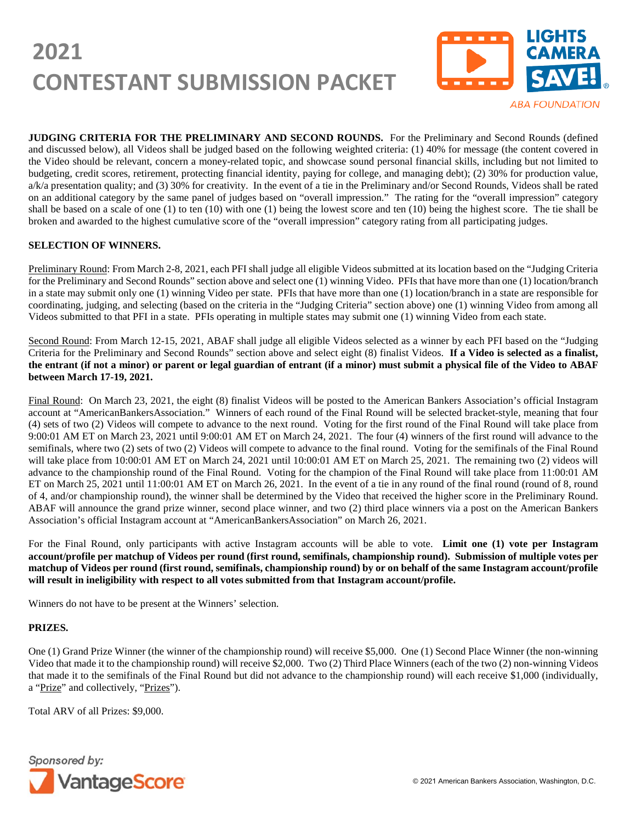

**ABA FOUNDATION** 

**JUDGING CRITERIA FOR THE PRELIMINARY AND SECOND ROUNDS.** For the Preliminary and Second Rounds (defined and discussed below), all Videos shall be judged based on the following weighted criteria: (1) 40% for message (the content covered in the Video should be relevant, concern a money-related topic, and showcase sound personal financial skills, including but not limited to budgeting, credit scores, retirement, protecting financial identity, paying for college, and managing debt); (2) 30% for production value, a/k/a presentation quality; and (3) 30% for creativity. In the event of a tie in the Preliminary and/or Second Rounds, Videos shall be rated on an additional category by the same panel of judges based on "overall impression." The rating for the "overall impression" category shall be based on a scale of one (1) to ten (10) with one (1) being the lowest score and ten (10) being the highest score. The tie shall be broken and awarded to the highest cumulative score of the "overall impression" category rating from all participating judges.

#### **SELECTION OF WINNERS.**

Preliminary Round: From March 2-8, 2021, each PFI shall judge all eligible Videos submitted at its location based on the "Judging Criteria for the Preliminary and Second Rounds" section above and select one (1) winning Video. PFIs that have more than one (1) location/branch in a state may submit only one (1) winning Video per state. PFIs that have more than one (1) location/branch in a state are responsible for coordinating, judging, and selecting (based on the criteria in the "Judging Criteria" section above) one (1) winning Video from among all Videos submitted to that PFI in a state. PFIs operating in multiple states may submit one (1) winning Video from each state.

Second Round: From March 12-15, 2021, ABAF shall judge all eligible Videos selected as a winner by each PFI based on the "Judging Criteria for the Preliminary and Second Rounds" section above and select eight (8) finalist Videos. **If a Video is selected as a finalist, the entrant (if not a minor) or parent or legal guardian of entrant (if a minor) must submit a physical file of the Video to ABAF between March 17-19, 2021.**

Final Round: On March 23, 2021, the eight (8) finalist Videos will be posted to the American Bankers Association's official Instagram account at "AmericanBankersAssociation." Winners of each round of the Final Round will be selected bracket-style, meaning that four (4) sets of two (2) Videos will compete to advance to the next round. Voting for the first round of the Final Round will take place from 9:00:01 AM ET on March 23, 2021 until 9:00:01 AM ET on March 24, 2021. The four (4) winners of the first round will advance to the semifinals, where two (2) sets of two (2) Videos will compete to advance to the final round. Voting for the semifinals of the Final Round will take place from 10:00:01 AM ET on March 24, 2021 until 10:00:01 AM ET on March 25, 2021. The remaining two (2) videos will advance to the championship round of the Final Round. Voting for the champion of the Final Round will take place from 11:00:01 AM ET on March 25, 2021 until 11:00:01 AM ET on March 26, 2021. In the event of a tie in any round of the final round (round of 8, round of 4, and/or championship round), the winner shall be determined by the Video that received the higher score in the Preliminary Round. ABAF will announce the grand prize winner, second place winner, and two (2) third place winners via a post on the American Bankers Association's official Instagram account at "AmericanBankersAssociation" on March 26, 2021.

For the Final Round, only participants with active Instagram accounts will be able to vote. **Limit one (1) vote per Instagram account/profile per matchup of Videos per round (first round, semifinals, championship round). Submission of multiple votes per matchup of Videos per round (first round, semifinals, championship round) by or on behalf of the same Instagram account/profile will result in ineligibility with respect to all votes submitted from that Instagram account/profile.**

Winners do not have to be present at the Winners' selection.

#### **PRIZES.**

One (1) Grand Prize Winner (the winner of the championship round) will receive \$5,000. One (1) Second Place Winner (the non-winning Video that made it to the championship round) will receive \$2,000. Two (2) Third Place Winners (each of the two (2) non-winning Videos that made it to the semifinals of the Final Round but did not advance to the championship round) will each receive \$1,000 (individually, a "Prize" and collectively, "Prizes").

Total ARV of all Prizes: \$9,000.

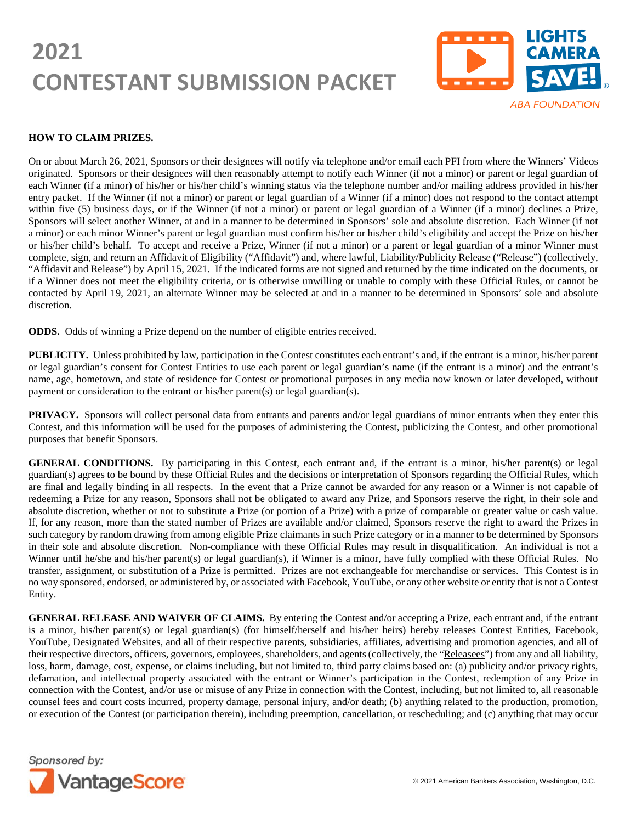

#### **HOW TO CLAIM PRIZES.**

On or about March 26, 2021, Sponsors or their designees will notify via telephone and/or email each PFI from where the Winners' Videos originated. Sponsors or their designees will then reasonably attempt to notify each Winner (if not a minor) or parent or legal guardian of each Winner (if a minor) of his/her or his/her child's winning status via the telephone number and/or mailing address provided in his/her entry packet. If the Winner (if not a minor) or parent or legal guardian of a Winner (if a minor) does not respond to the contact attempt within five (5) business days, or if the Winner (if not a minor) or parent or legal guardian of a Winner (if a minor) declines a Prize, Sponsors will select another Winner, at and in a manner to be determined in Sponsors' sole and absolute discretion. Each Winner (if not a minor) or each minor Winner's parent or legal guardian must confirm his/her or his/her child's eligibility and accept the Prize on his/her or his/her child's behalf. To accept and receive a Prize, Winner (if not a minor) or a parent or legal guardian of a minor Winner must complete, sign, and return an Affidavit of Eligibility ("Affidavit") and, where lawful, Liability/Publicity Release ("Release") (collectively, "Affidavit and Release") by April 15, 2021. If the indicated forms are not signed and returned by the time indicated on the documents, or if a Winner does not meet the eligibility criteria, or is otherwise unwilling or unable to comply with these Official Rules, or cannot be contacted by April 19, 2021, an alternate Winner may be selected at and in a manner to be determined in Sponsors' sole and absolute discretion.

**ODDS.** Odds of winning a Prize depend on the number of eligible entries received.

**PUBLICITY.** Unless prohibited by law, participation in the Contest constitutes each entrant's and, if the entrant is a minor, his/her parent or legal guardian's consent for Contest Entities to use each parent or legal guardian's name (if the entrant is a minor) and the entrant's name, age, hometown, and state of residence for Contest or promotional purposes in any media now known or later developed, without payment or consideration to the entrant or his/her parent(s) or legal guardian(s).

**PRIVACY.** Sponsors will collect personal data from entrants and parents and/or legal guardians of minor entrants when they enter this Contest, and this information will be used for the purposes of administering the Contest, publicizing the Contest, and other promotional purposes that benefit Sponsors.

**GENERAL CONDITIONS.** By participating in this Contest, each entrant and, if the entrant is a minor, his/her parent(s) or legal guardian(s) agrees to be bound by these Official Rules and the decisions or interpretation of Sponsors regarding the Official Rules, which are final and legally binding in all respects. In the event that a Prize cannot be awarded for any reason or a Winner is not capable of redeeming a Prize for any reason, Sponsors shall not be obligated to award any Prize, and Sponsors reserve the right, in their sole and absolute discretion, whether or not to substitute a Prize (or portion of a Prize) with a prize of comparable or greater value or cash value. If, for any reason, more than the stated number of Prizes are available and/or claimed, Sponsors reserve the right to award the Prizes in such category by random drawing from among eligible Prize claimants in such Prize category or in a manner to be determined by Sponsors in their sole and absolute discretion. Non-compliance with these Official Rules may result in disqualification. An individual is not a Winner until he/she and his/her parent(s) or legal guardian(s), if Winner is a minor, have fully complied with these Official Rules. No transfer, assignment, or substitution of a Prize is permitted. Prizes are not exchangeable for merchandise or services. This Contest is in no way sponsored, endorsed, or administered by, or associated with Facebook, YouTube, or any other website or entity that is not a Contest Entity.

**GENERAL RELEASE AND WAIVER OF CLAIMS.** By entering the Contest and/or accepting a Prize, each entrant and, if the entrant is a minor, his/her parent(s) or legal guardian(s) (for himself/herself and his/her heirs) hereby releases Contest Entities, Facebook, YouTube, Designated Websites, and all of their respective parents, subsidiaries, affiliates, advertising and promotion agencies, and all of their respective directors, officers, governors, employees, shareholders, and agents (collectively, the "Releasees") from any and all liability, loss, harm, damage, cost, expense, or claims including, but not limited to, third party claims based on: (a) publicity and/or privacy rights, defamation, and intellectual property associated with the entrant or Winner's participation in the Contest, redemption of any Prize in connection with the Contest, and/or use or misuse of any Prize in connection with the Contest, including, but not limited to, all reasonable counsel fees and court costs incurred, property damage, personal injury, and/or death; (b) anything related to the production, promotion, or execution of the Contest (or participation therein), including preemption, cancellation, or rescheduling; and (c) anything that may occur

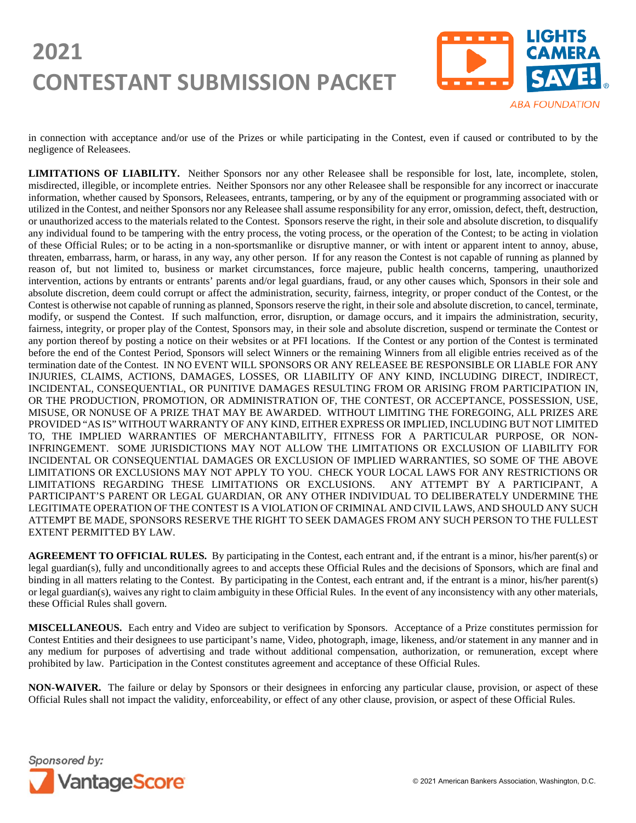

in connection with acceptance and/or use of the Prizes or while participating in the Contest, even if caused or contributed to by the negligence of Releasees.

**LIMITATIONS OF LIABILITY.** Neither Sponsors nor any other Releasee shall be responsible for lost, late, incomplete, stolen, misdirected, illegible, or incomplete entries. Neither Sponsors nor any other Releasee shall be responsible for any incorrect or inaccurate information, whether caused by Sponsors, Releasees, entrants, tampering, or by any of the equipment or programming associated with or utilized in the Contest, and neither Sponsors nor any Releasee shall assume responsibility for any error, omission, defect, theft, destruction, or unauthorized access to the materials related to the Contest. Sponsors reserve the right, in their sole and absolute discretion, to disqualify any individual found to be tampering with the entry process, the voting process, or the operation of the Contest; to be acting in violation of these Official Rules; or to be acting in a non-sportsmanlike or disruptive manner, or with intent or apparent intent to annoy, abuse, threaten, embarrass, harm, or harass, in any way, any other person. If for any reason the Contest is not capable of running as planned by reason of, but not limited to, business or market circumstances, force majeure, public health concerns, tampering, unauthorized intervention, actions by entrants or entrants' parents and/or legal guardians, fraud, or any other causes which, Sponsors in their sole and absolute discretion, deem could corrupt or affect the administration, security, fairness, integrity, or proper conduct of the Contest, or the Contest is otherwise not capable of running as planned, Sponsors reserve the right, in their sole and absolute discretion, to cancel, terminate, modify, or suspend the Contest. If such malfunction, error, disruption, or damage occurs, and it impairs the administration, security, fairness, integrity, or proper play of the Contest, Sponsors may, in their sole and absolute discretion, suspend or terminate the Contest or any portion thereof by posting a notice on their websites or at PFI locations. If the Contest or any portion of the Contest is terminated before the end of the Contest Period, Sponsors will select Winners or the remaining Winners from all eligible entries received as of the termination date of the Contest. IN NO EVENT WILL SPONSORS OR ANY RELEASEE BE RESPONSIBLE OR LIABLE FOR ANY INJURIES, CLAIMS, ACTIONS, DAMAGES, LOSSES, OR LIABILITY OF ANY KIND, INCLUDING DIRECT, INDIRECT, INCIDENTAL, CONSEQUENTIAL, OR PUNITIVE DAMAGES RESULTING FROM OR ARISING FROM PARTICIPATION IN, OR THE PRODUCTION, PROMOTION, OR ADMINISTRATION OF, THE CONTEST, OR ACCEPTANCE, POSSESSION, USE, MISUSE, OR NONUSE OF A PRIZE THAT MAY BE AWARDED. WITHOUT LIMITING THE FOREGOING, ALL PRIZES ARE PROVIDED "AS IS" WITHOUT WARRANTY OF ANY KIND, EITHER EXPRESS OR IMPLIED, INCLUDING BUT NOT LIMITED TO, THE IMPLIED WARRANTIES OF MERCHANTABILITY, FITNESS FOR A PARTICULAR PURPOSE, OR NON-INFRINGEMENT. SOME JURISDICTIONS MAY NOT ALLOW THE LIMITATIONS OR EXCLUSION OF LIABILITY FOR INCIDENTAL OR CONSEQUENTIAL DAMAGES OR EXCLUSION OF IMPLIED WARRANTIES, SO SOME OF THE ABOVE LIMITATIONS OR EXCLUSIONS MAY NOT APPLY TO YOU. CHECK YOUR LOCAL LAWS FOR ANY RESTRICTIONS OR LIMITATIONS REGARDING THESE LIMITATIONS OR EXCLUSIONS. ANY ATTEMPT BY A PARTICIPANT, A PARTICIPANT'S PARENT OR LEGAL GUARDIAN, OR ANY OTHER INDIVIDUAL TO DELIBERATELY UNDERMINE THE LEGITIMATE OPERATION OF THE CONTEST IS A VIOLATION OF CRIMINAL AND CIVIL LAWS, AND SHOULD ANY SUCH ATTEMPT BE MADE, SPONSORS RESERVE THE RIGHT TO SEEK DAMAGES FROM ANY SUCH PERSON TO THE FULLEST EXTENT PERMITTED BY LAW.

**AGREEMENT TO OFFICIAL RULES.** By participating in the Contest, each entrant and, if the entrant is a minor, his/her parent(s) or legal guardian(s), fully and unconditionally agrees to and accepts these Official Rules and the decisions of Sponsors, which are final and binding in all matters relating to the Contest. By participating in the Contest, each entrant and, if the entrant is a minor, his/her parent(s) or legal guardian(s), waives any right to claim ambiguity in these Official Rules. In the event of any inconsistency with any other materials, these Official Rules shall govern.

**MISCELLANEOUS.** Each entry and Video are subject to verification by Sponsors. Acceptance of a Prize constitutes permission for Contest Entities and their designees to use participant's name, Video, photograph, image, likeness, and/or statement in any manner and in any medium for purposes of advertising and trade without additional compensation, authorization, or remuneration, except where prohibited by law. Participation in the Contest constitutes agreement and acceptance of these Official Rules.

**NON-WAIVER.** The failure or delay by Sponsors or their designees in enforcing any particular clause, provision, or aspect of these Official Rules shall not impact the validity, enforceability, or effect of any other clause, provision, or aspect of these Official Rules.